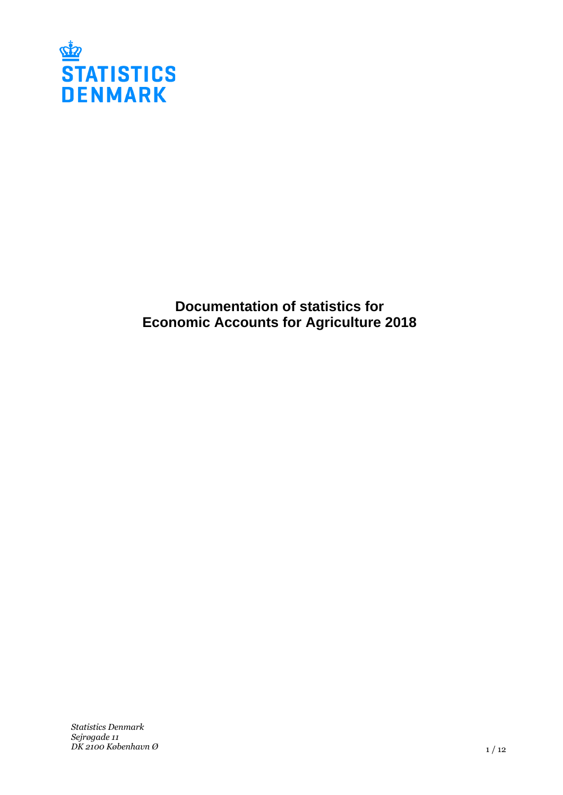

**Documentation of statistics for Economic Accounts for Agriculture 2018**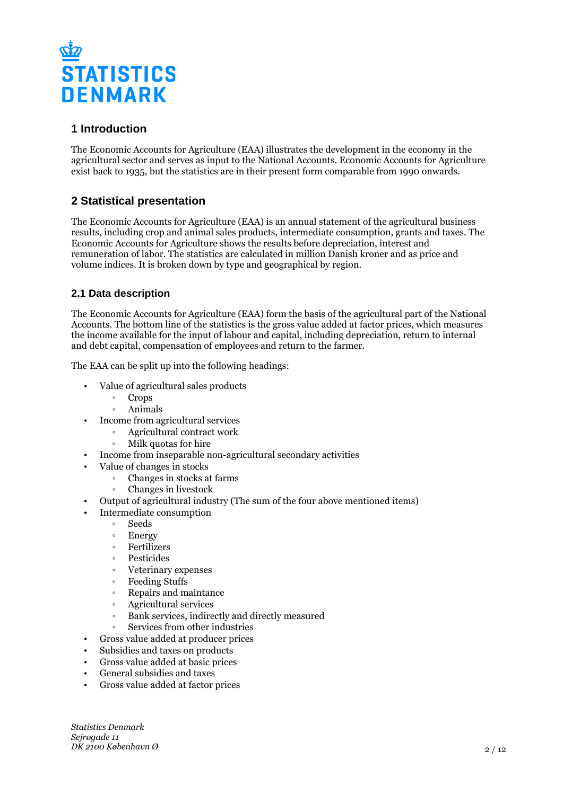

# **1 Introduction**

The Economic Accounts for Agriculture (EAA) illustrates the development in the economy in the agricultural sector and serves as input to the National Accounts. Economic Accounts for Agriculture exist back to 1935, but the statistics are in their present form comparable from 1990 onwards.

# **2 Statistical presentation**

The Economic Accounts for Agriculture (EAA) is an annual statement of the agricultural business results, including crop and animal sales products, intermediate consumption, grants and taxes. The Economic Accounts for Agriculture shows the results before depreciation, interest and remuneration of labor. The statistics are calculated in million Danish kroner and as price and volume indices. It is broken down by type and geographical by region.

# **2.1 Data description**

The Economic Accounts for Agriculture (EAA) form the basis of the agricultural part of the National Accounts. The bottom line of the statistics is the gross value added at factor prices, which measures the income available for the input of labour and capital, including depreciation, return to internal and debt capital, compensation of employees and return to the farmer.

The EAA can be split up into the following headings:

- Value of agricultural sales products
	- Crops
	- ƕ Animals
- Income from agricultural services
	- ƕ Agricultural contract work
	- ƕ Milk quotas for hire
- Income from inseparable non-agricultural secondary activities
- Value of changes in stocks
	- ƕ Changes in stocks at farms
	- ƕ Changes in livestock
- Output of agricultural industry (The sum of the four above mentioned items)
- Intermediate consumption
	- Seeds
	- Energy
	- ƕ Fertilizers
	- **Pesticides**
	- ƕ Veterinary expenses
	- ƕ Feeding Stuffs
	- ƕ Repairs and maintance
	- ƕ Agricultural services
	- ƕ Bank services, indirectly and directly measured
	- ƕ Services from other industries
- Gross value added at producer prices
- Subsidies and taxes on products
- Gross value added at basic prices
- General subsidies and taxes
- Gross value added at factor prices

*Statistics Denmark Sejrøgade 11 DK 2100 København Ø*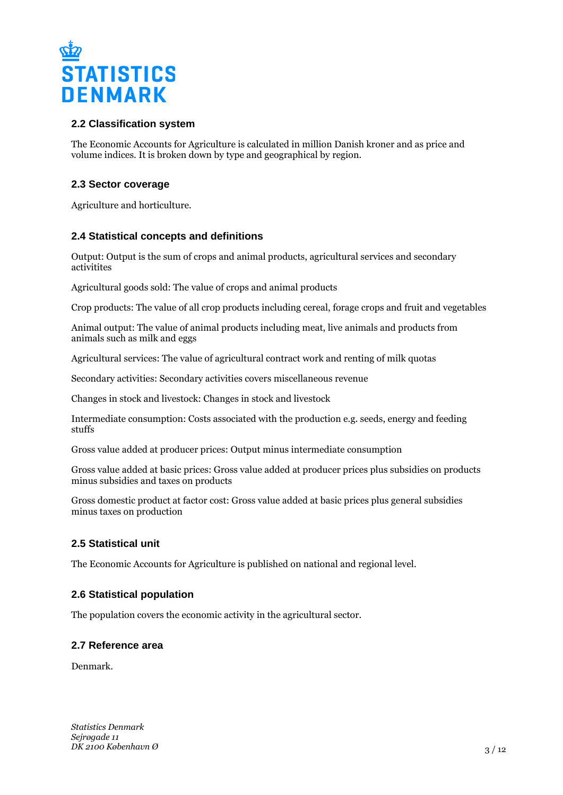

# **2.2 Classification system**

The Economic Accounts for Agriculture is calculated in million Danish kroner and as price and volume indices. It is broken down by type and geographical by region.

# **2.3 Sector coverage**

Agriculture and horticulture.

# **2.4 Statistical concepts and definitions**

Output: Output is the sum of crops and animal products, agricultural services and secondary activitites

Agricultural goods sold: The value of crops and animal products

Crop products: The value of all crop products including cereal, forage crops and fruit and vegetables

Animal output: The value of animal products including meat, live animals and products from animals such as milk and eggs

Agricultural services: The value of agricultural contract work and renting of milk quotas

Secondary activities: Secondary activities covers miscellaneous revenue

Changes in stock and livestock: Changes in stock and livestock

Intermediate consumption: Costs associated with the production e.g. seeds, energy and feeding stuffs

Gross value added at producer prices: Output minus intermediate consumption

Gross value added at basic prices: Gross value added at producer prices plus subsidies on products minus subsidies and taxes on products

Gross domestic product at factor cost: Gross value added at basic prices plus general subsidies minus taxes on production

# **2.5 Statistical unit**

The Economic Accounts for Agriculture is published on national and regional level.

# **2.6 Statistical population**

The population covers the economic activity in the agricultural sector.

### **2.7 Reference area**

Denmark.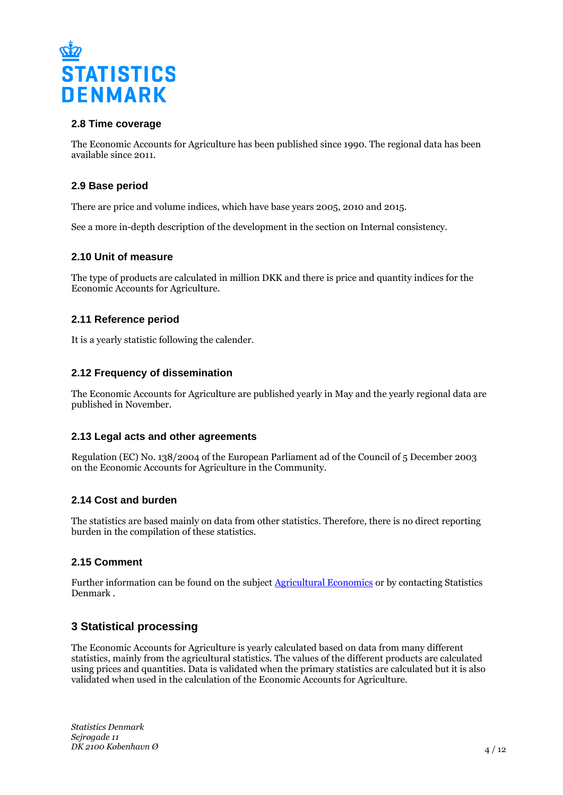

### **2.8 Time coverage**

The Economic Accounts for Agriculture has been published since 1990. The regional data has been available since 2011.

### **2.9 Base period**

There are price and volume indices, which have base years 2005, 2010 and 2015.

See a more in-depth description of the development in the section on Internal consistency.

### **2.10 Unit of measure**

The type of products are calculated in million DKK and there is price and quantity indices for the Economic Accounts for Agriculture.

### **2.11 Reference period**

It is a yearly statistic following the calender.

### **2.12 Frequency of dissemination**

The Economic Accounts for Agriculture are published yearly in May and the yearly regional data are published in November.

### **2.13 Legal acts and other agreements**

Regulation (EC) No. 138/2004 of the European Parliament ad of the Council of 5 December 2003 on the Economic Accounts for Agriculture in the Community.

### **2.14 Cost and burden**

The statistics are based mainly on data from other statistics. Therefore, there is no direct reporting burden in the compilation of these statistics.

### **2.15 Comment**

Further information can be found on the subject **Agricultural Economics** or by contacting Statistics Denmark .

# **3 Statistical processing**

The Economic Accounts for Agriculture is yearly calculated based on data from many different statistics, mainly from the agricultural statistics. The values of the different products are calculated using prices and quantities. Data is validated when the primary statistics are calculated but it is also validated when used in the calculation of the Economic Accounts for Agriculture.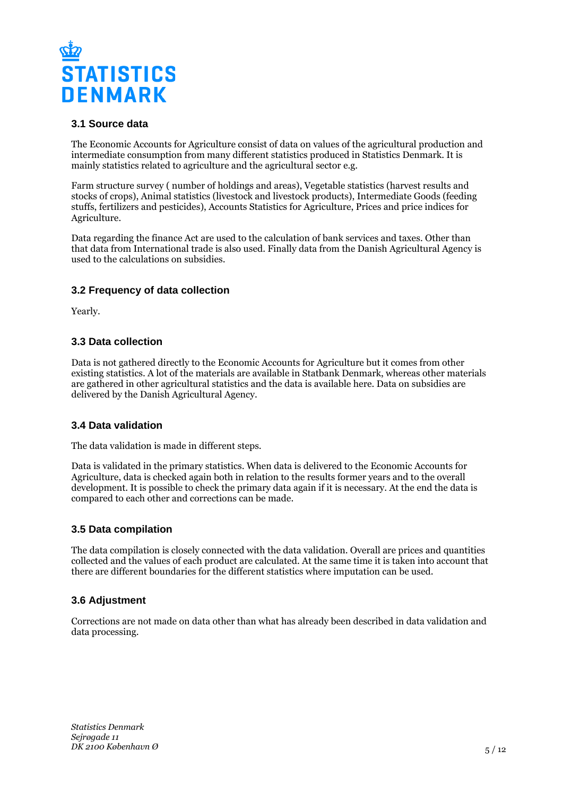

# **3.1 Source data**

The Economic Accounts for Agriculture consist of data on values of the agricultural production and intermediate consumption from many different statistics produced in Statistics Denmark. It is mainly statistics related to agriculture and the agricultural sector e.g.

Farm structure survey ( number of holdings and areas), Vegetable statistics (harvest results and stocks of crops), Animal statistics (livestock and livestock products), Intermediate Goods (feeding stuffs, fertilizers and pesticides), Accounts Statistics for Agriculture, Prices and price indices for Agriculture.

Data regarding the finance Act are used to the calculation of bank services and taxes. Other than that data from International trade is also used. Finally data from the Danish Agricultural Agency is used to the calculations on subsidies.

# **3.2 Frequency of data collection**

Yearly.

# **3.3 Data collection**

Data is not gathered directly to the Economic Accounts for Agriculture but it comes from other existing statistics. A lot of the materials are available in Statbank Denmark, whereas other materials are gathered in other agricultural statistics and the data is available here. Data on subsidies are delivered by the Danish Agricultural Agency.

### **3.4 Data validation**

The data validation is made in different steps.

Data is validated in the primary statistics. When data is delivered to the Economic Accounts for Agriculture, data is checked again both in relation to the results former years and to the overall development. It is possible to check the primary data again if it is necessary. At the end the data is compared to each other and corrections can be made.

### **3.5 Data compilation**

The data compilation is closely connected with the data validation. Overall are prices and quantities collected and the values of each product are calculated. At the same time it is taken into account that there are different boundaries for the different statistics where imputation can be used.

# **3.6 Adjustment**

Corrections are not made on data other than what has already been described in data validation and data processing.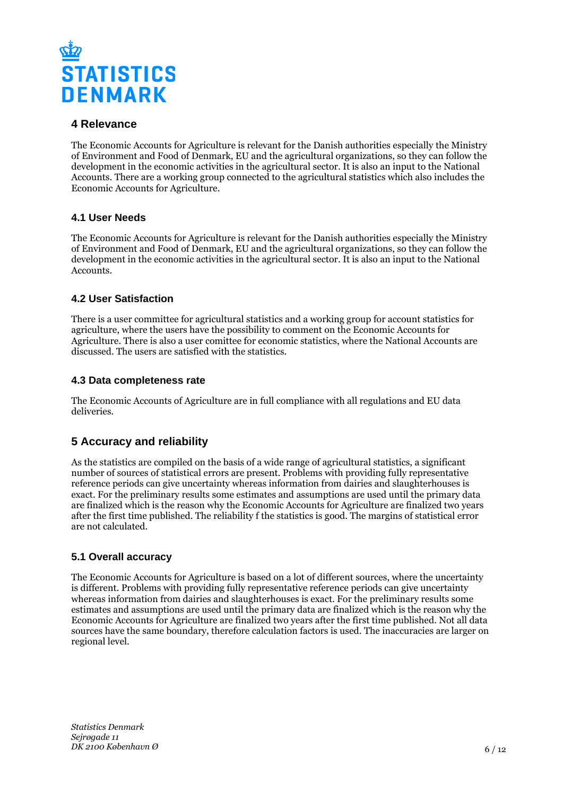

# **4 Relevance**

The Economic Accounts for Agriculture is relevant for the Danish authorities especially the Ministry of Environment and Food of Denmark, EU and the agricultural organizations, so they can follow the development in the economic activities in the agricultural sector. It is also an input to the National Accounts. There are a working group connected to the agricultural statistics which also includes the Economic Accounts for Agriculture.

# **4.1 User Needs**

The Economic Accounts for Agriculture is relevant for the Danish authorities especially the Ministry of Environment and Food of Denmark, EU and the agricultural organizations, so they can follow the development in the economic activities in the agricultural sector. It is also an input to the National Accounts.

# **4.2 User Satisfaction**

There is a user committee for agricultural statistics and a working group for account statistics for agriculture, where the users have the possibility to comment on the Economic Accounts for Agriculture. There is also a user comittee for economic statistics, where the National Accounts are discussed. The users are satisfied with the statistics.

# **4.3 Data completeness rate**

The Economic Accounts of Agriculture are in full compliance with all regulations and EU data deliveries.

# **5 Accuracy and reliability**

As the statistics are compiled on the basis of a wide range of agricultural statistics, a significant number of sources of statistical errors are present. Problems with providing fully representative reference periods can give uncertainty whereas information from dairies and slaughterhouses is exact. For the preliminary results some estimates and assumptions are used until the primary data are finalized which is the reason why the Economic Accounts for Agriculture are finalized two years after the first time published. The reliability f the statistics is good. The margins of statistical error are not calculated.

# **5.1 Overall accuracy**

The Economic Accounts for Agriculture is based on a lot of different sources, where the uncertainty is different. Problems with providing fully representative reference periods can give uncertainty whereas information from dairies and slaughterhouses is exact. For the preliminary results some estimates and assumptions are used until the primary data are finalized which is the reason why the Economic Accounts for Agriculture are finalized two years after the first time published. Not all data sources have the same boundary, therefore calculation factors is used. The inaccuracies are larger on regional level.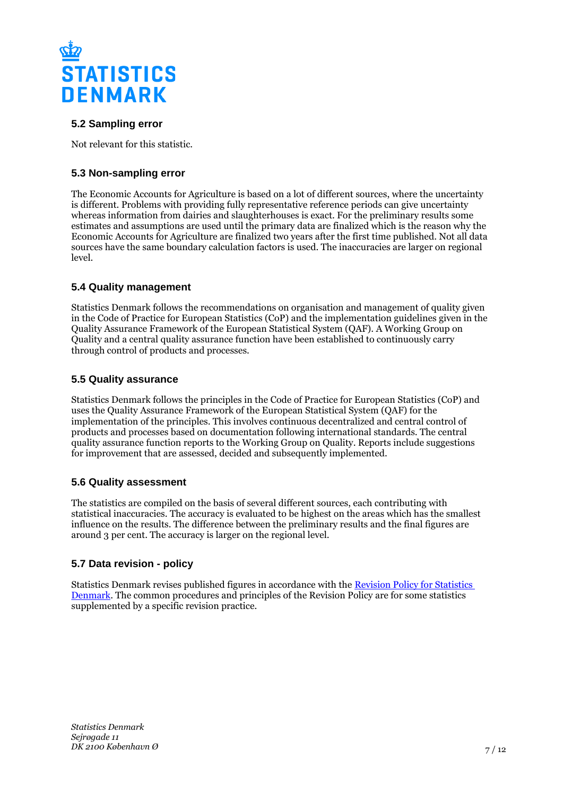

# **5.2 Sampling error**

Not relevant for this statistic.

# **5.3 Non-sampling error**

The Economic Accounts for Agriculture is based on a lot of different sources, where the uncertainty is different. Problems with providing fully representative reference periods can give uncertainty whereas information from dairies and slaughterhouses is exact. For the preliminary results some estimates and assumptions are used until the primary data are finalized which is the reason why the Economic Accounts for Agriculture are finalized two years after the first time published. Not all data sources have the same boundary calculation factors is used. The inaccuracies are larger on regional level.

# **5.4 Quality management**

Statistics Denmark follows the recommendations on organisation and management of quality given in the Code of Practice for European Statistics (CoP) and the implementation guidelines given in the Quality Assurance Framework of the European Statistical System (QAF). A Working Group on Quality and a central quality assurance function have been established to continuously carry through control of products and processes.

### **5.5 Quality assurance**

Statistics Denmark follows the principles in the Code of Practice for European Statistics (CoP) and uses the Quality Assurance Framework of the European Statistical System (QAF) for the implementation of the principles. This involves continuous decentralized and central control of products and processes based on documentation following international standards. The central quality assurance function reports to the Working Group on Quality. Reports include suggestions for improvement that are assessed, decided and subsequently implemented.

# **5.6 Quality assessment**

The statistics are compiled on the basis of several different sources, each contributing with statistical inaccuracies. The accuracy is evaluated to be highest on the areas which has the smallest influence on the results. The difference between the preliminary results and the final figures are around 3 per cent. The accuracy is larger on the regional level.

# **5.7 Data revision - policy**

Statistics Denmark revises published figures in accordance with the [Revision Policy for Statistics](https://www.dst.dk/en/OmDS/strategi-og-kvalitet/revisionspolitik.aspx)  [Denmark.](https://www.dst.dk/en/OmDS/strategi-og-kvalitet/revisionspolitik.aspx) The common procedures and principles of the Revision Policy are for some statistics supplemented by a specific revision practice.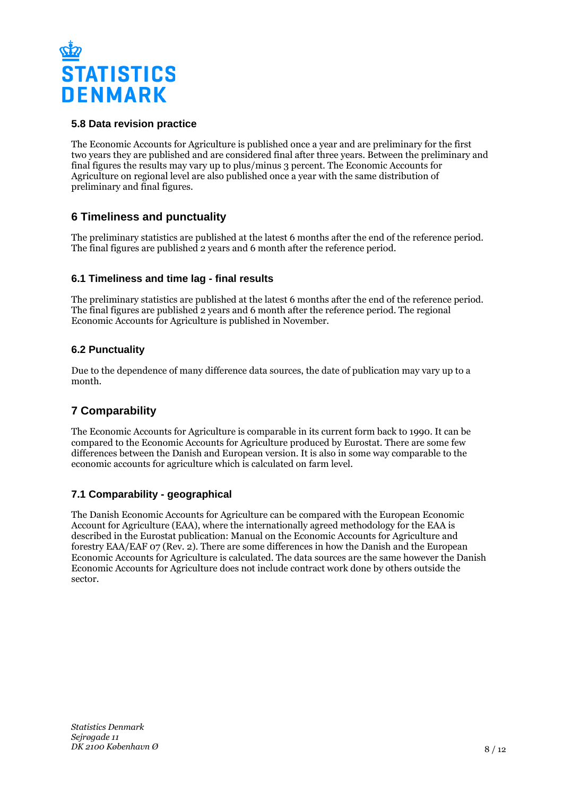

# **5.8 Data revision practice**

The Economic Accounts for Agriculture is published once a year and are preliminary for the first two years they are published and are considered final after three years. Between the preliminary and final figures the results may vary up to plus/minus 3 percent. The Economic Accounts for Agriculture on regional level are also published once a year with the same distribution of preliminary and final figures.

# **6 Timeliness and punctuality**

The preliminary statistics are published at the latest 6 months after the end of the reference period. The final figures are published 2 years and 6 month after the reference period.

# **6.1 Timeliness and time lag - final results**

The preliminary statistics are published at the latest 6 months after the end of the reference period. The final figures are published 2 years and 6 month after the reference period. The regional Economic Accounts for Agriculture is published in November.

# **6.2 Punctuality**

Due to the dependence of many difference data sources, the date of publication may vary up to a month.

# **7 Comparability**

The Economic Accounts for Agriculture is comparable in its current form back to 1990. It can be compared to the Economic Accounts for Agriculture produced by Eurostat. There are some few differences between the Danish and European version. It is also in some way comparable to the economic accounts for agriculture which is calculated on farm level.

# **7.1 Comparability - geographical**

The Danish Economic Accounts for Agriculture can be compared with the European Economic Account for Agriculture (EAA), where the internationally agreed methodology for the EAA is described in the Eurostat publication: Manual on the Economic Accounts for Agriculture and forestry EAA/EAF 07 (Rev. 2). There are some differences in how the Danish and the European Economic Accounts for Agriculture is calculated. The data sources are the same however the Danish Economic Accounts for Agriculture does not include contract work done by others outside the sector.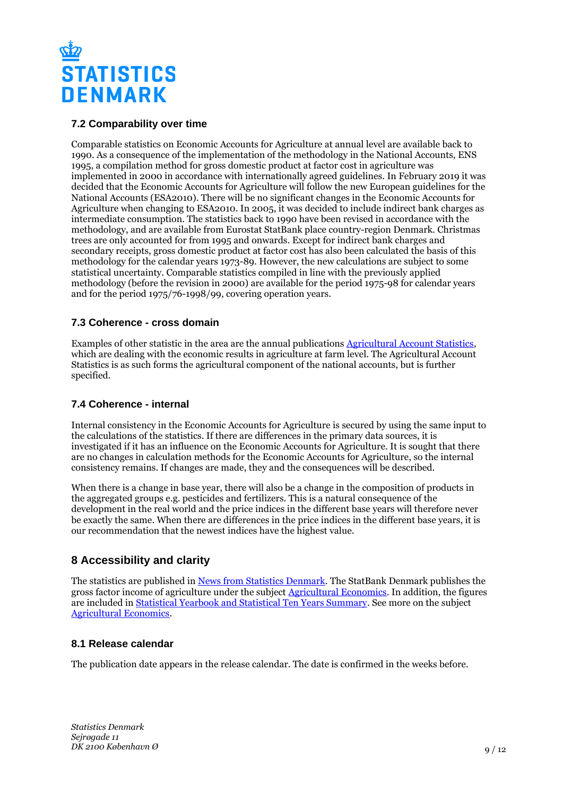

# **7.2 Comparability over time**

Comparable statistics on Economic Accounts for Agriculture at annual level are available back to 1990. As a consequence of the implementation of the methodology in the National Accounts, ENS 1995, a compilation method for gross domestic product at factor cost in agriculture was implemented in 2000 in accordance with internationally agreed guidelines. In February 2019 it was decided that the Economic Accounts for Agriculture will follow the new European guidelines for the National Accounts (ESA2010). There will be no significant changes in the Economic Accounts for Agriculture when changing to ESA2010. In 2005, it was decided to include indirect bank charges as intermediate consumption. The statistics back to 1990 have been revised in accordance with the methodology, and are available from Eurostat StatBank place country-region Denmark. Christmas trees are only accounted for from 1995 and onwards. Except for indirect bank charges and secondary receipts, gross domestic product at factor cost has also been calculated the basis of this methodology for the calendar years 1973-89. However, the new calculations are subject to some statistical uncertainty. Comparable statistics compiled in line with the previously applied methodology (before the revision in 2000) are available for the period 1975-98 for calendar years and for the period 1975/76-1998/99, covering operation years.

### **7.3 Coherence - cross domain**

Examples of other statistic in the area are the annual publications [Agricultural Account Statistics](https://www.dst.dk/da/Statistik/Publikationer/VisPub?cid=20707), which are dealing with the economic results in agriculture at farm level. The Agricultural Account Statistics is as such forms the agricultural component of the national accounts, but is further specified.

# **7.4 Coherence - internal**

Internal consistency in the Economic Accounts for Agriculture is secured by using the same input to the calculations of the statistics. If there are differences in the primary data sources, it is investigated if it has an influence on the Economic Accounts for Agriculture. It is sought that there are no changes in calculation methods for the Economic Accounts for Agriculture, so the internal consistency remains. If changes are made, they and the consequences will be described.

When there is a change in base year, there will also be a change in the composition of products in the aggregated groups e.g. pesticides and fertilizers. This is a natural consequence of the development in the real world and the price indices in the different base years will therefore never be exactly the same. When there are differences in the price indices in the different base years, it is our recommendation that the newest indices have the highest value.

# **8 Accessibility and clarity**

The statistics are published in [News from Statistics Denmark](https://www.dst.dk/en/Statistik/ny). The StatBank Denmark publishes the gross factor income of agriculture under the subject [Agricultural Economics](http://www.statbank.dk/10204). In addition, the figures are included in **[Statistical Yearbook and Statistical Ten Years Summary](https://www.dst.dk/en/Statistik/Publikationer)**. See more on the subject [Agricultural Economics](https://www.dst.dk/en/Statistik/emner/erhvervslivsektorer/landbrug-gartneri-og-skovbrug/jordbrugets%C3%B8konomi).

# **8.1 Release calendar**

The publication date appears in the release calendar. The date is confirmed in the weeks before.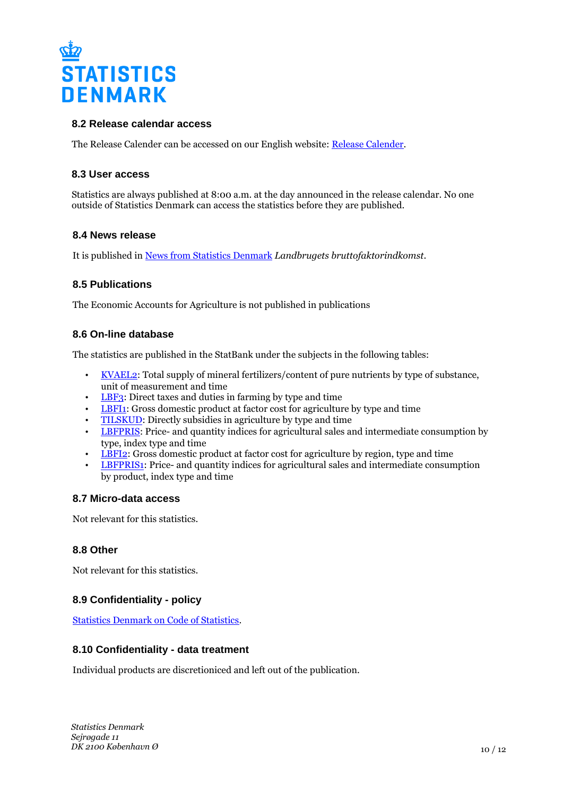

### **8.2 Release calendar access**

The Release Calender can be accessed on our English website: [Release Calender.](https://www.dst.dk/en/Statistik/offentliggoerelser.aspx)

### **8.3 User access**

Statistics are always published at 8:00 a.m. at the day announced in the release calendar. No one outside of Statistics Denmark can access the statistics before they are published.

### **8.4 News release**

It is published in [News from Statistics Denmark](https://www.dst.dk/en/Statistik/nyt) *Landbrugets bruttofaktorindkomst*.

### **8.5 Publications**

The Economic Accounts for Agriculture is not published in publications

### **8.6 On-line database**

The statistics are published in the StatBank under the subjects in the following tables:

- [KVAEL2](http://www.statbank.dk/KVAEL2): Total supply of mineral fertilizers/content of pure nutrients by type of substance, unit of measurement and time
- [LBF3:](http://www.statbank.dk/LBF3) Direct taxes and duties in farming by type and time
- [LBFI1:](http://www.statbank.dk/LBFI1) Gross domestic product at factor cost for agriculture by type and time
- [TILSKUD:](http://www.statbank.dk/TILSKUD) Directly subsidies in agriculture by type and time
- [LBFPRIS](http://www.statbank.dk/LBFPRIS): Price- and quantity indices for agricultural sales and intermediate consumption by type, index type and time
- [LBFI2:](http://www.statbank.dk/LBFI2) Gross domestic product at factor cost for agriculture by region, type and time
- [LBFPRIS1](http://www.statbank.dk/LBFPRIS1): Price- and quantity indices for agricultural sales and intermediate consumption by product, index type and time

### **8.7 Micro-data access**

Not relevant for this statistics.

### **8.8 Other**

Not relevant for this statistics.

# **8.9 Confidentiality - policy**

[Statistics Denmark on Code of Statistics.](https://www.dst.dk/en/OmDS/lovgivning.aspx)

### **8.10 Confidentiality - data treatment**

Individual products are discretioniced and left out of the publication.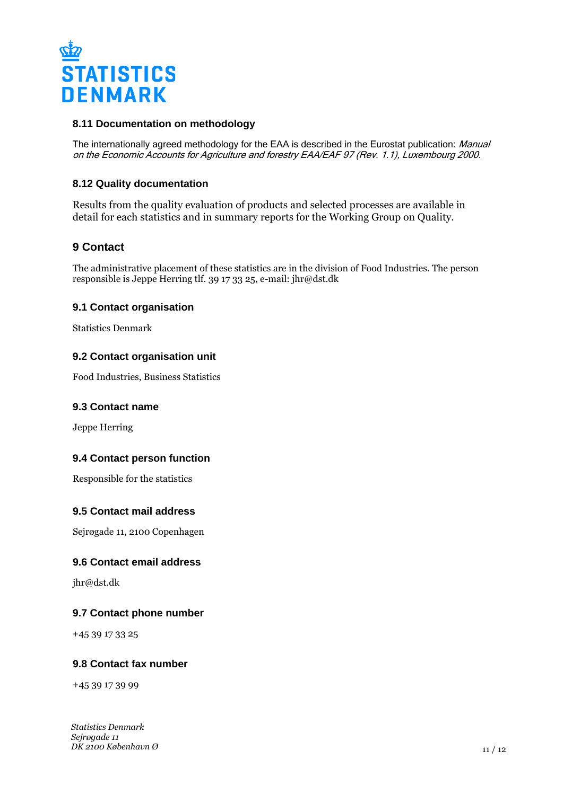

### **8.11 Documentation on methodology**

The internationally agreed methodology for the EAA is described in the Eurostat publication: Manual on the Economic Accounts for Agriculture and forestry EAA/EAF 97 (Rev. 1.1), Luxembourg 2000.

### **8.12 Quality documentation**

Results from the quality evaluation of products and selected processes are available in detail for each statistics and in summary reports for the Working Group on Quality.

# **9 Contact**

The administrative placement of these statistics are in the division of Food Industries. The person responsible is Jeppe Herring tlf. 39 17 33 25, e-mail: jhr@dst.dk

### **9.1 Contact organisation**

Statistics Denmark

### **9.2 Contact organisation unit**

Food Industries, Business Statistics

### **9.3 Contact name**

Jeppe Herring

### **9.4 Contact person function**

Responsible for the statistics

### **9.5 Contact mail address**

Sejrøgade 11, 2100 Copenhagen

### **9.6 Contact email address**

jhr@dst.dk

### **9.7 Contact phone number**

+45 39 17 33 25

### **9.8 Contact fax number**

+45 39 17 39 99

*Statistics Denmark Sejrøgade 11 DK 2100 København Ø*